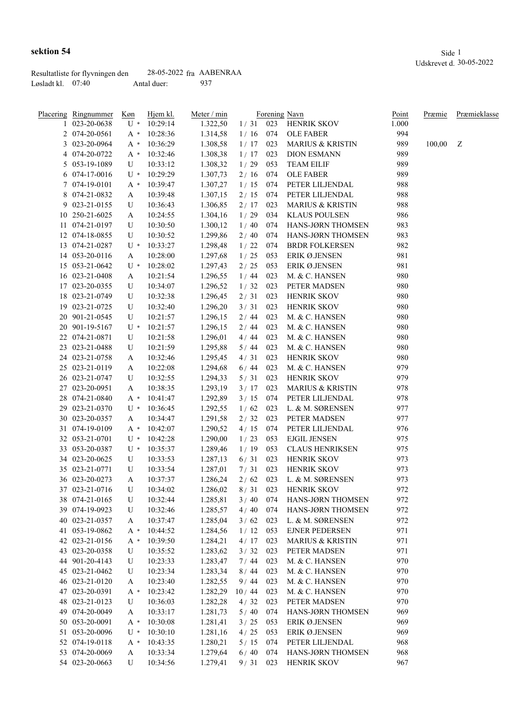|                     | Resultatliste for flyvningen den | $28-05-2022$ fra AABENRAA |      |
|---------------------|----------------------------------|---------------------------|------|
| Løsladt kl. $07:40$ |                                  | Antal duer:               | -937 |

| Placering Ringnummer | Køn   | Hjem kl. | Meter / min |       |     | Forening Navn               | Point | Præmie | Præmieklasse |
|----------------------|-------|----------|-------------|-------|-----|-----------------------------|-------|--------|--------------|
| 1 023-20-0638        | U *   | 10:29:14 | 1.322,50    | 1/31  | 023 | <b>HENRIK SKOV</b>          | 1.000 |        |              |
| 2 074-20-0561        | A *   | 10:28:36 | 1.314,58    | 1/16  | 074 | <b>OLE FABER</b>            | 994   |        |              |
| 3 023-20-0964        | A *   | 10:36:29 | 1.308,58    | 1/17  | 023 | <b>MARIUS &amp; KRISTIN</b> | 989   | 100,00 | - Z          |
| 4 074-20-0722        | A *   | 10:32:46 | 1.308,38    | 1/17  | 023 | <b>DION ESMANN</b>          | 989   |        |              |
| 5 053-19-1089        | U     | 10:33:12 | 1.308,32    | 1/29  | 053 | <b>TEAM EILIF</b>           | 989   |        |              |
| 6 074-17-0016        | U *   | 10:29:29 | 1.307,73    | 2/16  | 074 | <b>OLE FABER</b>            | 989   |        |              |
| 7 074-19-0101        | A *   | 10:39:47 | 1.307,27    | 1/15  | 074 | PETER LILJENDAL             | 988   |        |              |
| 8 074-21-0832        | A     | 10:39:48 | 1.307,15    | 2/15  | 074 | PETER LILJENDAL             | 988   |        |              |
| 9 023-21-0155        | U     | 10:36:43 | 1.306,85    | 2/17  | 023 | <b>MARIUS &amp; KRISTIN</b> | 988   |        |              |
| 10 250-21-6025       | A     | 10:24:55 | 1.304,16    | 1/29  | 034 | <b>KLAUS POULSEN</b>        | 986   |        |              |
| 11 074-21-0197       | U     | 10:30:50 | 1.300,12    | 1/40  | 074 | HANS-JØRN THOMSEN           | 983   |        |              |
| 12 074-18-0855       | U     | 10:30:52 | 1.299,86    | 2/40  | 074 | HANS-JØRN THOMSEN           | 983   |        |              |
| 13 074-21-0287       | U *   | 10:33:27 | 1.298,48    | 1/22  | 074 | <b>BRDR FOLKERSEN</b>       | 982   |        |              |
| 14 053-20-0116       | A     | 10:28:00 | 1.297,68    | 1/25  | 053 | ERIK Ø.JENSEN               | 981   |        |              |
| 15 053-21-0642       | U *   | 10:28:02 | 1.297,43    | 2/25  | 053 | ERIK Ø.JENSEN               | 981   |        |              |
| 16 023-21-0408       | A     | 10:21:54 | 1.296,55    | 1/44  | 023 | M. & C. HANSEN              | 980   |        |              |
| 17 023-20-0355       | U     | 10:34:07 | 1.296,52    | 1/32  | 023 | PETER MADSEN                | 980   |        |              |
| 18 023-21-0749       | U     | 10:32:38 | 1.296,45    | 2/31  | 023 | HENRIK SKOV                 | 980   |        |              |
| 19 023-21-0725       | U     | 10:32:40 | 1.296,20    | 3/31  | 023 | HENRIK SKOV                 | 980   |        |              |
| 20 901-21-0545       |       |          |             | 2/44  | 023 | M. & C. HANSEN              | 980   |        |              |
| 20 901-19-5167       | U     | 10:21:57 | 1.296,15    |       | 023 |                             | 980   |        |              |
|                      | $U^*$ | 10:21:57 | 1.296,15    | 2/44  |     | M. & C. HANSEN              |       |        |              |
| 22 074-21-0871       | U     | 10:21:58 | 1.296,01    | 4/44  | 023 | M. & C. HANSEN              | 980   |        |              |
| 23 023-21-0488       | U     | 10:21:59 | 1.295,88    | 5/44  | 023 | M. & C. HANSEN              | 980   |        |              |
| 24 023-21-0758       | A     | 10:32:46 | 1.295,45    | 4/31  | 023 | <b>HENRIK SKOV</b>          | 980   |        |              |
| 25 023-21-0119       | A     | 10:22:08 | 1.294,68    | 6/44  | 023 | M. & C. HANSEN              | 979   |        |              |
| 26 023-21-0747       | U     | 10:32:55 | 1.294,33    | 5/31  | 023 | <b>HENRIK SKOV</b>          | 979   |        |              |
| 27 023-20-0951       | A     | 10:38:35 | 1.293,19    | 3/17  | 023 | <b>MARIUS &amp; KRISTIN</b> | 978   |        |              |
| 28 074-21-0840       | A *   | 10:41:47 | 1.292,89    | 3/15  | 074 | PETER LILJENDAL             | 978   |        |              |
| 29 023-21-0370       | U *   | 10:36:45 | 1.292,55    | 1/62  | 023 | L. & M. SØRENSEN            | 977   |        |              |
| 30 023-20-0357       | A     | 10:34:47 | 1.291,58    | 2/32  | 023 | PETER MADSEN                | 977   |        |              |
| 31 074-19-0109       | $A^*$ | 10:42:07 | 1.290,52    | 4/15  | 074 | PETER LILJENDAL             | 976   |        |              |
| 32 053-21-0701       | $U^*$ | 10:42:28 | 1.290,00    | 1/23  | 053 | <b>EJGIL JENSEN</b>         | 975   |        |              |
| 33 053-20-0387       | U *   | 10:35:37 | 1.289,46    | 1/19  | 053 | <b>CLAUS HENRIKSEN</b>      | 975   |        |              |
| 34 023-20-0625       | U     | 10:33:53 | 1.287,13    | 6/31  | 023 | HENRIK SKOV                 | 973   |        |              |
| 35 023-21-0771       | U     | 10:33:54 | 1.287,01    | 7/31  | 023 | <b>HENRIK SKOV</b>          | 973   |        |              |
| 36 023-20-0273       | A     | 10:37:37 | 1.286,24    | 2/62  | 023 | L. & M. SØRENSEN            | 973   |        |              |
| 37 023-21-0716       | U     | 10:34:02 | 1.286,02    | 8/31  | 023 | <b>HENRIK SKOV</b>          | 972   |        |              |
| 38 074-21-0165       | U     | 10:32:44 | 1.285,81    | 3/40  | 074 | HANS-JØRN THOMSEN           | 972   |        |              |
| 39 074-19-0923       | U     | 10:32:46 | 1.285,57    | 4/40  | 074 | HANS-JØRN THOMSEN           | 972   |        |              |
| 40 023-21-0357       | A     | 10:37:47 | 1.285,04    | 3/62  | 023 | L. & M. SØRENSEN            | 972   |        |              |
| 41 053-19-0862       | A *   | 10:44:52 | 1.284,56    | 1/12  | 053 | <b>EJNER PEDERSEN</b>       | 971   |        |              |
| 42 023-21-0156       | A *   | 10:39:50 | 1.284,21    | 4/17  | 023 | <b>MARIUS &amp; KRISTIN</b> | 971   |        |              |
| 43 023-20-0358       | U     | 10:35:52 | 1.283,62    | 3/32  | 023 | PETER MADSEN                | 971   |        |              |
| 44 901-20-4143       | U     | 10:23:33 | 1.283,47    | 7/44  | 023 | M. & C. HANSEN              | 970   |        |              |
| 45 023-21-0462       | U     | 10:23:34 | 1.283,34    | 8/44  | 023 | M. & C. HANSEN              | 970   |        |              |
| 46 023-21-0120       | A     | 10:23:40 | 1.282,55    | 9/44  | 023 | M. & C. HANSEN              | 970   |        |              |
| 47 023-20-0391       | A *   | 10:23:42 | 1.282,29    | 10/44 | 023 | M. & C. HANSEN              | 970   |        |              |
| 48 023-21-0123       | U     | 10:36:03 | 1.282,28    | 4/32  | 023 | PETER MADSEN                | 970   |        |              |
| 49 074-20-0049       | A     | 10:33:17 | 1.281,73    | 5/40  | 074 | HANS-JØRN THOMSEN           | 969   |        |              |
| 50 053-20-0091       | A *   | 10:30:08 | 1.281,41    | 3/25  | 053 | ERIK Ø.JENSEN               | 969   |        |              |
| 51 053-20-0096       | U *   | 10:30:10 | 1.281,16    | 4/25  | 053 | ERIK Ø.JENSEN               | 969   |        |              |
| 52 074-19-0118       | $A^*$ | 10:43:35 | 1.280,21    | 5/15  | 074 | PETER LILJENDAL             | 968   |        |              |
| 53 074-20-0069       | A     | 10:33:34 | 1.279,64    | 6/40  | 074 | HANS-JØRN THOMSEN           | 968   |        |              |
| 54 023-20-0663       | U     | 10:34:56 | 1.279,41    | 9/31  | 023 | <b>HENRIK SKOV</b>          | 967   |        |              |
|                      |       |          |             |       |     |                             |       |        |              |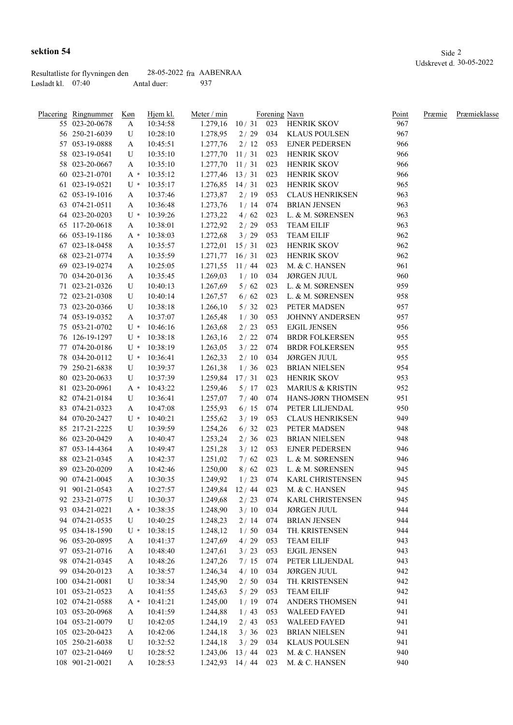|                     | Resultatliste for flyvningen den | $28-05-2022$ fra AABENRAA |      |
|---------------------|----------------------------------|---------------------------|------|
| Løsladt kl. – 07:40 |                                  | Antal duer:               | -937 |

| sektion 54                                                                                                                                                                                                                                                                                             |                           |     | Side 2                  |
|--------------------------------------------------------------------------------------------------------------------------------------------------------------------------------------------------------------------------------------------------------------------------------------------------------|---------------------------|-----|-------------------------|
|                                                                                                                                                                                                                                                                                                        |                           |     | Udskrevet d. 30-05-2022 |
| Resultatliste for flyvningen den                                                                                                                                                                                                                                                                       | $28-05-2022$ fra AABENRAA |     |                         |
| $I_{\infty}$ and $I_{\infty}I_{\infty}$ and $I_{\infty}$ and $I_{\infty}$ and $I_{\infty}$ and $I_{\infty}$ and $I_{\infty}$ are $I_{\infty}$ and $I_{\infty}$ and $I_{\infty}$ are $I_{\infty}$ and $I_{\infty}$ are $I_{\infty}$ are $I_{\infty}$ and $I_{\infty}$ are $I_{\infty}$ are $I_{\infty}$ | $A$ ntol duom             | 037 |                         |

| Placering Ringnummer<br>55 023-20-0678 | Køn<br>A     | Hjem kl.<br>10:34:58 | Meter / min<br>1.279,16 | 10/31        | 023 | Forening Navn<br>HENRIK SKOV           | Point<br>967 | Præmie | Præmieklasse |
|----------------------------------------|--------------|----------------------|-------------------------|--------------|-----|----------------------------------------|--------------|--------|--------------|
| 56 250-21-6039                         | U            | 10:28:10             | 1.278,95                | 2/29         | 034 | <b>KLAUS POULSEN</b>                   | 967          |        |              |
| 57 053-19-0888                         | A            | 10:45:51             | 1.277,76                | 2/12         | 053 | <b>EJNER PEDERSEN</b>                  | 966          |        |              |
| 58 023-19-0541                         | U            | 10:35:10             | 1.277,70                | 11/31        | 023 | HENRIK SKOV                            | 966          |        |              |
| 58 023-20-0667                         | A            | 10:35:10             | 1.277,70                | 11/31        | 023 | <b>HENRIK SKOV</b>                     | 966          |        |              |
| 60 023-21-0701                         | $A^*$        | 10:35:12             | 1.277,46                | 13/31        | 023 | HENRIK SKOV                            | 966          |        |              |
| 61 023-19-0521                         | U *          | 10:35:17             | 1.276,85                | 14/31        | 023 | <b>HENRIK SKOV</b>                     | 965          |        |              |
| 62 053-19-1016                         | A            | 10:37:46             | 1.273,87                | 2/19         | 053 | <b>CLAUS HENRIKSEN</b>                 | 963          |        |              |
| 63 074-21-0511                         | A            | 10:36:48             | 1.273,76                | 1/14         | 074 | <b>BRIAN JENSEN</b>                    | 963          |        |              |
| 64 023-20-0203                         | $U^*$        | 10:39:26             | 1.273,22                | 4/62         | 023 | L. & M. SØRENSEN                       | 963          |        |              |
| 65 117-20-0618                         | A            | 10:38:01             | 1.272,92                | 2/29         | 053 | <b>TEAM EILIF</b>                      | 963          |        |              |
| 66 053-19-1186                         | A *          | 10:38:03             | 1.272,68                | 3/29         | 053 | <b>TEAM EILIF</b>                      | 962          |        |              |
| 67 023-18-0458                         |              | 10:35:57             | 1.272,01                | 15/31        | 023 | HENRIK SKOV                            | 962          |        |              |
| 68 023-21-0774                         | A            | 10:35:59             | 1.271,77                | 16/31        | 023 | <b>HENRIK SKOV</b>                     | 962          |        |              |
| 69 023-19-0274                         | A            |                      | 1.271,55                | 11/44        | 023 | M. & C. HANSEN                         | 961          |        |              |
|                                        | A            | 10:25:05             |                         |              |     |                                        | 960          |        |              |
| 70 034-20-0136                         | A            | 10:35:45             | 1.269,03                | 1/10<br>5/62 | 034 | <b>JØRGEN JUUL</b><br>L. & M. SØRENSEN | 959          |        |              |
| 71 023-21-0326                         | U            | 10:40:13             | 1.267,69                |              | 023 |                                        |              |        |              |
| 72 023-21-0308                         | U            | 10:40:14             | 1.267,57                | 6/62         | 023 | L. & M. SØRENSEN                       | 958          |        |              |
| 73 023-20-0366                         | U            | 10:38:18             | 1.266,10                | 5/32         | 023 | PETER MADSEN                           | 957          |        |              |
| 74 053-19-0352                         | A            | 10:37:07             | 1.265,48                | 1/30         | 053 | <b>JOHNNY ANDERSEN</b>                 | 957          |        |              |
| 75 053-21-0702                         | $U^*$        | 10:46:16             | 1.263,68                | 2/23         | 053 | <b>EJGIL JENSEN</b>                    | 956          |        |              |
| 76 126-19-1297                         | $U^*$        | 10:38:18             | 1.263,16                | 2/22         | 074 | <b>BRDR FOLKERSEN</b>                  | 955          |        |              |
| 77 074-20-0186                         | $U^*$        | 10:38:19             | 1.263,05                | 3/22         | 074 | <b>BRDR FOLKERSEN</b>                  | 955          |        |              |
| 78 034-20-0112                         | U *          | 10:36:41             | 1.262,33                | 2/10         | 034 | <b>JØRGEN JUUL</b>                     | 955          |        |              |
| 79 250-21-6838                         | U            | 10:39:37             | 1.261,38                | 1/36         | 023 | <b>BRIAN NIELSEN</b>                   | 954          |        |              |
| 80 023-20-0633                         | U            | 10:37:39             | 1.259,84                | 17/31        | 023 | HENRIK SKOV                            | 953          |        |              |
| 81 023-20-0961                         | A *          | 10:43:22             | 1.259,46                | 5/17         | 023 | MARIUS & KRISTIN                       | 952          |        |              |
| 82 074-21-0184                         | U            | 10:36:41             | 1.257,07                | 7/40         | 074 | HANS-JØRN THOMSEN                      | 951          |        |              |
| 83 074-21-0323                         | A            | 10:47:08             | 1.255,93                | 6/15         | 074 | PETER LILJENDAL                        | 950          |        |              |
| 84 070-20-2427                         | $U^*$        | 10:40:21             | 1.255,62                | 3/19         | 053 | <b>CLAUS HENRIKSEN</b>                 | 949          |        |              |
| 85 217-21-2225                         | U            | 10:39:59             | 1.254,26                | 6/32         | 023 | PETER MADSEN                           | 948          |        |              |
| 86 023-20-0429                         | A            | 10:40:47             | 1.253,24                | 2/36         | 023 | <b>BRIAN NIELSEN</b>                   | 948          |        |              |
| 87 053-14-4364                         | A            | 10:49:47             | 1.251,28                | 3/12         | 053 | <b>EJNER PEDERSEN</b>                  | 946          |        |              |
| 88 023-21-0345                         | A            | 10:42:37             | 1.251,02                | 7/62         | 023 | L. & M. SØRENSEN                       | 946          |        |              |
| 89 023-20-0209                         | A            | 10:42:46             | 1.250,00                | 8/62         | 023 | L. & M. SØRENSEN                       | 945          |        |              |
| 90 074-21-0045                         | A            | 10:30:35             | 1.249,92                | $1/23$ 074   |     | <b>KARL CHRISTENSEN</b>                | 945          |        |              |
| 91 901-21-0543                         | $\mathbf{A}$ | 10:27:57             |                         |              |     | 1.249,84 12 / 44 023 M. & C. HANSEN    | 945          |        |              |
| 92 233-21-0775                         | U            | 10:30:37             | 1.249,68                | 2/23         | 074 | KARL CHRISTENSEN                       | 945          |        |              |
| 93 034-21-0221                         | $A^*$        | 10:38:35             | 1.248,90                | 3/10         | 034 | <b>JØRGEN JUUL</b>                     | 944          |        |              |
| 94 074-21-0535                         | U            | 10:40:25             | 1.248,23                | 2/14         | 074 | <b>BRIAN JENSEN</b>                    | 944          |        |              |
| 95 034-18-1590                         | $U^*$        | 10:38:15             | 1.248,12                | 1/50         | 034 | TH. KRISTENSEN                         | 944          |        |              |
| 96 053-20-0895                         | A            | 10:41:37             | 1.247,69                | 4/29         | 053 | <b>TEAM EILIF</b>                      | 943          |        |              |
| 97 053-21-0716                         | A            | 10:48:40             | 1.247,61                | 3/23         | 053 | <b>EJGIL JENSEN</b>                    | 943          |        |              |
| 98 074-21-0345                         | A            | 10:48:26             | 1.247,26                | 7/15         | 074 | PETER LILJENDAL                        | 943          |        |              |
| 99 034-20-0123                         | A            | 10:38:57             | 1.246,34                | 4/10         | 034 | <b>JØRGEN JUUL</b>                     | 942          |        |              |
| 100 034-21-0081                        | U            | 10:38:34             | 1.245,90                | 2/50         | 034 | TH. KRISTENSEN                         | 942          |        |              |
| 101 053-21-0523                        | A            | 10:41:55             | 1.245,63                | 5/29         | 053 | <b>TEAM EILIF</b>                      | 942          |        |              |
| 102 074-21-0588                        | $A^*$        | 10:41:21             | 1.245,00                | 1/19         | 074 | ANDERS THOMSEN                         | 941          |        |              |
| 103 053-20-0968                        | A            | 10:41:59             | 1.244,88                | 1/43         | 053 | <b>WALEED FAYED</b>                    | 941          |        |              |
| 104 053-21-0079                        | U            | 10:42:05             | 1.244,19                | 2/43         | 053 | <b>WALEED FAYED</b>                    | 941          |        |              |
| 105 023-20-0423                        | A            | 10:42:06             | 1.244,18                | 3/36         | 023 | <b>BRIAN NIELSEN</b>                   | 941          |        |              |
| 105 250-21-6038                        | U            | 10:32:52             | 1.244,18                | 3/29         | 034 | <b>KLAUS POULSEN</b>                   | 941          |        |              |
| 107 023-21-0469                        | U            | 10:28:52             | 1.243,06                | 13/44        | 023 | M. & C. HANSEN                         | 940          |        |              |
| 108 901-21-0021                        | A            | 10:28:53             | 1.242,93                | 14/44        | 023 | M. & C. HANSEN                         | 940          |        |              |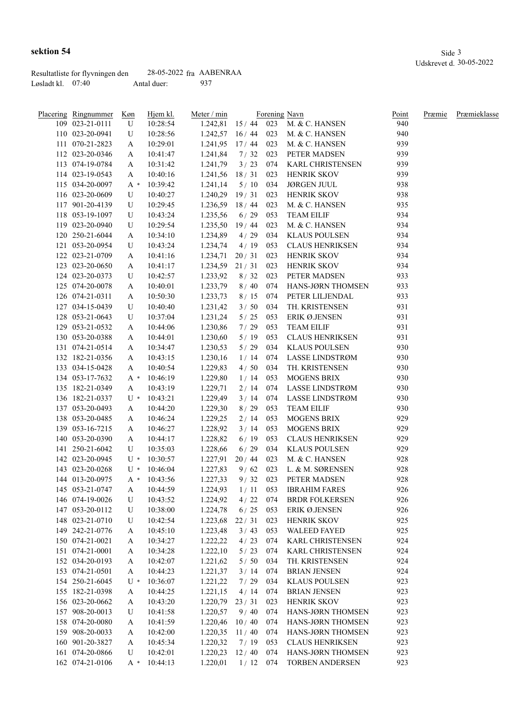| Placering Ringnummer | Køn       | Hjem kl. | Meter / min            |             |     | Forening Navn                       | <u>Point</u> | Præmie | Præmieklasse |
|----------------------|-----------|----------|------------------------|-------------|-----|-------------------------------------|--------------|--------|--------------|
| 109 023-21-0111      | U         | 10:28:54 |                        |             |     | 1.242,81 15 / 44 023 M. & C. HANSEN | 940          |        |              |
| 110 023-20-0941      | U         | 10:28:56 | $1.242,57$ $16/44$ 023 |             |     | M. & C. HANSEN                      | 940          |        |              |
| 111 070-21-2823      | A         | 10:29:01 | 1.241,95               | $17/44$ 023 |     | M. & C. HANSEN                      | 939          |        |              |
| 112 023-20-0346      | A         | 10:41:47 | 1.241,84               | 7/32        | 023 | PETER MADSEN                        | 939          |        |              |
| 113 074-19-0784      | A         | 10:31:42 | 1.241,79               | 3/23        | 074 | <b>KARL CHRISTENSEN</b>             | 939          |        |              |
| 114 023-19-0543      | A         | 10:40:16 | 1.241,56               | 18/31       | 023 | HENRIK SKOV                         | 939          |        |              |
| 115 034-20-0097      | A *       | 10:39:42 | 1.241,14               | 5/10        | 034 | <b>JØRGEN JUUL</b>                  | 938          |        |              |
| 116 023-20-0609      | U         | 10:40:27 | 1.240,29               | 19/31       | 023 | HENRIK SKOV                         | 938          |        |              |
| 117 901-20-4139      | U         | 10:29:45 | 1.236,59               | 18/44       | 023 | M. & C. HANSEN                      | 935          |        |              |
| 118 053-19-1097      | U         | 10:43:24 | 1.235,56               | 6/29        | 053 | <b>TEAM EILIF</b>                   | 934          |        |              |
| 119 023-20-0940      | U         | 10:29:54 | 1.235,50               | 19/44       | 023 | M. & C. HANSEN                      | 934          |        |              |
| 120 250-21-6044      | A         | 10:34:10 | 1.234,89               | 4/29        | 034 | <b>KLAUS POULSEN</b>                | 934          |        |              |
| 121 053-20-0954      | U         | 10:43:24 | 1.234,74               | 4/19        | 053 | <b>CLAUS HENRIKSEN</b>              | 934          |        |              |
| 122 023-21-0709      | A         | 10:41:16 | 1.234,71               | 20/31       | 023 | <b>HENRIK SKOV</b>                  | 934          |        |              |
| 123 023-20-0650      | A         | 10:41:17 | 1.234,59               | 21/31       | 023 | <b>HENRIK SKOV</b>                  | 934          |        |              |
| 124 023-20-0373      | U         | 10:42:57 | 1.233,92               | 8/32        | 023 | PETER MADSEN                        | 933          |        |              |
| 125 074-20-0078      | A         | 10:40:01 | 1.233,79               | 8/40        | 074 | HANS-JØRN THOMSEN                   | 933          |        |              |
| 126 074-21-0311      | A         | 10:50:30 | 1.233,73               | 8/15        | 074 | PETER LILJENDAL                     | 933          |        |              |
| 127 034-15-0439      | U         | 10:40:40 | 1.231,42               | 3/50        | 034 | TH. KRISTENSEN                      | 931          |        |              |
| 128 053-21-0643      | U         | 10:37:04 | 1.231,24               | $5/25$      | 053 | ERIK Ø.JENSEN                       | 931          |        |              |
| 129 053-21-0532      | A         | 10:44:06 | 1.230,86               | 7/29        | 053 | <b>TEAM EILIF</b>                   | 931          |        |              |
| 130 053-20-0388      | A         | 10:44:01 | 1.230,60               | 5/19        | 053 | <b>CLAUS HENRIKSEN</b>              | 931          |        |              |
| 131 074-21-0514      | A         | 10:34:47 | 1.230,53               | $5/29$      | 034 | <b>KLAUS POULSEN</b>                | 930          |        |              |
| 132 182-21-0356      | A         | 10:43:15 | 1.230,16               | 1/14        | 074 | LASSE LINDSTRØM                     | 930          |        |              |
| 133 034-15-0428      | A         | 10:40:54 | 1.229,83               | 4/50        | 034 | TH. KRISTENSEN                      | 930          |        |              |
| 134 053-17-7632      |           | 10:46:19 | 1.229,80               | 1/14        | 053 | <b>MOGENS BRIX</b>                  | 930          |        |              |
| 135 182-21-0349      | A *       | 10:43:19 |                        | 2/14        | 074 | LASSE LINDSTRØM                     | 930          |        |              |
| 136 182-21-0337      | A<br>U *  | 10:43:21 | 1.229,71               |             | 074 | LASSE LINDSTRØM                     | 930          |        |              |
|                      |           |          | 1.229,49               | 3/14        |     |                                     | 930          |        |              |
| 137 053-20-0493      | A         | 10:44:20 | 1.229,30               | 8/29        | 053 | <b>TEAM EILIF</b>                   | 929          |        |              |
| 138 053-20-0485      | A         | 10:46:24 | 1.229,25               | 2/14        | 053 | <b>MOGENS BRIX</b>                  |              |        |              |
| 139 053-16-7215      | A         | 10:46:27 | 1.228,92               | 3/14        | 053 | <b>MOGENS BRIX</b>                  | 929          |        |              |
| 140 053-20-0390      | A         | 10:44:17 | 1.228,82               | 6/19        | 053 | <b>CLAUS HENRIKSEN</b>              | 929          |        |              |
| 141 250-21-6042      | U         | 10:35:03 | 1.228,66               | 6/29        | 034 | <b>KLAUS POULSEN</b>                | 929          |        |              |
| 142 023-20-0945      | $U^*$     | 10:30:57 | 1.227,91               | 20/44       | 023 | M. & C. HANSEN                      | 928          |        |              |
| 143 023-20-0268      | $U^*$     | 10:46:04 | 1.227,83               | 9/62        | 023 | L. & M. SØRENSEN                    | 928          |        |              |
| 144 013-20-0975      | A *       | 10:43:56 | 1.227,33               | 9/32        | 023 | PETER MADSEN                        | 928          |        |              |
| 145 053-21-0747      | A         | 10:44:59 | 1.224,93               | $1/11$ 053  |     | <b>IBRAHIM FARES</b>                | 926          |        |              |
| 146 074-19-0026      | ${\bf U}$ | 10:43:52 | 1.224,92               | 4/22        | 074 | <b>BRDR FOLKERSEN</b>               | 926          |        |              |
| 147 053-20-0112      | U         | 10:38:00 | 1.224,78               | 6/25        | 053 | ERIK Ø.JENSEN                       | 926          |        |              |
| 148 023-21-0710      | U         | 10:42:54 | 1.223,68               | 22/31       | 023 | HENRIK SKOV                         | 925          |        |              |
| 149 242-21-0776      | A         | 10:45:10 | 1.223,48               | 3/43        | 053 | <b>WALEED FAYED</b>                 | 925          |        |              |
| 150 074-21-0021      | A         | 10:34:27 | 1.222,22               | 4/23        | 074 | KARL CHRISTENSEN                    | 924          |        |              |
| 151 074-21-0001      | A         | 10:34:28 | 1.222,10               | 5/23        | 074 | KARL CHRISTENSEN                    | 924          |        |              |
| 152 034-20-0193      | A         | 10:42:07 | 1.221,62               | 5/50        | 034 | TH. KRISTENSEN                      | 924          |        |              |
| 153 074-21-0501      | A         | 10:44:23 | 1.221,37               | 3/14        | 074 | <b>BRIAN JENSEN</b>                 | 924          |        |              |
| 154 250-21-6045      | U *       | 10:36:07 | 1.221,22               | 7/29        | 034 | <b>KLAUS POULSEN</b>                | 923          |        |              |
| 155 182-21-0398      | A         | 10:44:25 | 1.221,15               | 4/14        | 074 | <b>BRIAN JENSEN</b>                 | 923          |        |              |
| 156 023-20-0662      | A         | 10:43:20 | 1.220,79               | 23/31       | 023 | <b>HENRIK SKOV</b>                  | 923          |        |              |
| 157 908-20-0013      | U         | 10:41:58 | 1.220,57               | 9/40        | 074 | HANS-JØRN THOMSEN                   | 923          |        |              |
| 158 074-20-0080      | A         | 10:41:59 | 1.220,46               | 10/40       | 074 | HANS-JØRN THOMSEN                   | 923          |        |              |
| 159 908-20-0033      | A         | 10:42:00 | 1.220,35               | 11/40       | 074 | HANS-JØRN THOMSEN                   | 923          |        |              |
| 160 901-20-3827      | A         | 10:45:34 | 1.220,32               | 7/19        | 053 | <b>CLAUS HENRIKSEN</b>              | 923          |        |              |
| 161 074-20-0866      | U         | 10:42:01 | 1.220,23               | 12/40       | 074 | HANS-JØRN THOMSEN                   | 923          |        |              |
| 162 074-21-0106      | A *       | 10:44:13 | 1.220,01               | 1/12        | 074 | <b>TORBEN ANDERSEN</b>              | 923          |        |              |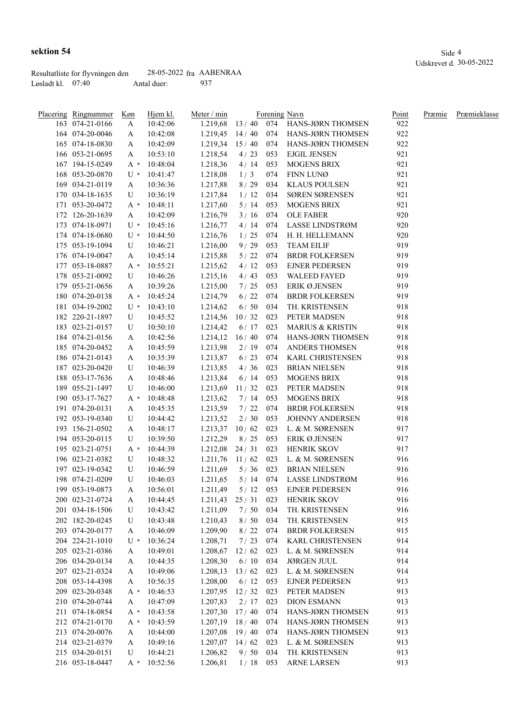|                     | Resultatliste for flyvningen den | $28-05-2022$ fra AABENRAA |     |
|---------------------|----------------------------------|---------------------------|-----|
| Løsladt kl. $07:40$ |                                  | Antal duer:               | 937 |

| <u>Placering Ringnummer</u> | <u>Køn</u> | Hjem kl.       | Meter / min      |            |     | Forening Navn                 | Point | Præmie | Præmieklasse |
|-----------------------------|------------|----------------|------------------|------------|-----|-------------------------------|-------|--------|--------------|
| 163 074-21-0166             | A          | 10:42:06       | 1.219,68         |            |     | 13 / 40 074 HANS-JØRN THOMSEN | 922   |        |              |
| 164 074-20-0046             | A          | 10:42:08       | 1.219,45         | 14/40      |     | 074 HANS-JØRN THOMSEN         | 922   |        |              |
| 165 074-18-0830             | A          | 10:42:09       | 1.219,34         | 15/40      | 074 | HANS-JØRN THOMSEN             | 922   |        |              |
| 166 053-21-0695             | A          | 10:53:10       | 1.218,54         | 4/23       | 053 | <b>EJGIL JENSEN</b>           | 921   |        |              |
| 167 194-15-0249             | $A^*$      | 10:48:04       | 1.218,36         | 4/14       | 053 | <b>MOGENS BRIX</b>            | 921   |        |              |
| 168 053-20-0870             | $U^*$      | 10:41:47       | 1.218,08         | 1/3        | 074 | FINN LUNØ                     | 921   |        |              |
| 169 034-21-0119             | A          | 10:36:36       | 1.217,88         | 8/29       | 034 | <b>KLAUS POULSEN</b>          | 921   |        |              |
| 170 034-18-1635             | U          | 10:36:19       | 1.217,84         | 1/12       | 034 | SØREN SØRENSEN                | 921   |        |              |
| 171 053-20-0472             | A *        | 10:48:11       | 1.217,60         | 5/14       | 053 | <b>MOGENS BRIX</b>            | 921   |        |              |
| 172 126-20-1639             | A          | 10:42:09       | 1.216,79         | 3/16       | 074 | <b>OLE FABER</b>              | 920   |        |              |
| 173 074-18-0971             | $U^*$      | 10:45:16       | 1.216,77         | 4/14       | 074 | LASSE LINDSTRØM               | 920   |        |              |
| 174 074-18-0680             | U *        | 10:44:50       | 1.216,76         | 1/25       | 074 | H. H. HELLEMANN               | 920   |        |              |
| 175 053-19-1094             | U          | 10:46:21       | 1.216,00         | 9/29       | 053 | <b>TEAM EILIF</b>             | 919   |        |              |
| 176 074-19-0047             | A          | 10:45:14       | 1.215,88         | $5/22$     | 074 | <b>BRDR FOLKERSEN</b>         | 919   |        |              |
| 177 053-18-0887             | $A^*$      | 10:55:21       | 1.215,62         | 4/12       | 053 | <b>EJNER PEDERSEN</b>         | 919   |        |              |
| 178 053-21-0092             | U          | 10:46:26       | 1.215,16         | 4/43       | 053 | <b>WALEED FAYED</b>           | 919   |        |              |
| 179 053-21-0656             | A          | 10:39:26       | 1.215,00         | 7/25       | 053 | ERIK Ø.JENSEN                 | 919   |        |              |
| 180 074-20-0138             | A *        | 10:45:24       | 1.214,79         | 6/22       | 074 | <b>BRDR FOLKERSEN</b>         | 919   |        |              |
| 181 034-19-2002             |            | $U * 10:43:10$ | 1.214,62         | 6/50       | 034 | TH. KRISTENSEN                | 918   |        |              |
| 182 220-21-1897             | U          | 10:45:52       | 1.214,56         | 10/32      | 023 | PETER MADSEN                  | 918   |        |              |
| 183 023-21-0157             | U          | 10:50:10       | 1.214,42         | 6/17       | 023 | <b>MARIUS &amp; KRISTIN</b>   | 918   |        |              |
| 184 074-21-0156             |            |                |                  |            | 074 | HANS-JØRN THOMSEN             | 918   |        |              |
|                             | A          | 10:42:56       | 1.214,12         | 16/40      |     |                               |       |        |              |
| 185 074-20-0452             | A          | 10:45:59       | 1.213,98         | 2/19       | 074 | ANDERS THOMSEN                | 918   |        |              |
| 186 074-21-0143             | A          | 10:35:39       | 1.213,87         | 6/23       | 074 | <b>KARL CHRISTENSEN</b>       | 918   |        |              |
| 187 023-20-0420             | U          | 10:46:39       | 1.213,85         | 4/36       | 023 | <b>BRIAN NIELSEN</b>          | 918   |        |              |
| 188 053-17-7636             | A          | 10:48:46       | 1.213,84         | 6/14       | 053 | <b>MOGENS BRIX</b>            | 918   |        |              |
| 189 055-21-1497             | U          | 10:46:00       | 1.213,69         | 11/32      | 023 | PETER MADSEN                  | 918   |        |              |
| 190 053-17-7627             | $A^*$      | 10:48:48       | 1.213,62         | 7 / 14     | 053 | <b>MOGENS BRIX</b>            | 918   |        |              |
| 191 074-20-0131             | A          | 10:45:35       | 1.213,59         | 7/22       | 074 | <b>BRDR FOLKERSEN</b>         | 918   |        |              |
| 192 053-19-0340             | U          | 10:44:42       | 1.213,52         | 2/30       | 053 | JOHNNY ANDERSEN               | 918   |        |              |
| 193 156-21-0502             | A          | 10:48:17       | 1.213,37         | 10/62      | 023 | L. & M. SØRENSEN              | 917   |        |              |
| 194 053-20-0115             | U          | 10:39:50       | 1.212,29         | 8/25       | 053 | <b>ERIK Ø.JENSEN</b>          | 917   |        |              |
| 195 023-21-0751             | $A^*$      | 10:44:39       | 1.212,08         | 24/31      | 023 | HENRIK SKOV                   | 917   |        |              |
| 196 023-21-0382             | U          | 10:48:32       | 1.211,76         | 11/62      | 023 | L. & M. SØRENSEN              | 916   |        |              |
| 197 023-19-0342             | U          | 10:46:59       | 1.211,69         | 5/36       | 023 | <b>BRIAN NIELSEN</b>          | 916   |        |              |
| 198 074-21-0209             | U          | 10:46:03       | 1.211,65         | $5/14$ 074 |     | LASSE LINDSTRØM               | 916   |        |              |
| 199 053-19-0873             | A          | 10:56:01       | 1.211,49         | $5/12$ 053 |     | <b>EJNER PEDERSEN</b>         | 916   |        |              |
| 200 023-21-0724             | A          | 10:44:45       | 1.211,43         | 25/31      | 023 | <b>HENRIK SKOV</b>            | 916   |        |              |
| 201 034-18-1506             | U          | 10:43:42       | 1.211,09         | 7/50       | 034 | TH. KRISTENSEN                | 916   |        |              |
| 202 182-20-0245             | U          | 10:43:48       | 1.210,43         | 8/50       | 034 | TH. KRISTENSEN                | 915   |        |              |
| 203 074-20-0177             | A          | 10:46:09       | 1.209,90         | 8/22       | 074 | <b>BRDR FOLKERSEN</b>         | 915   |        |              |
| 204 224-21-1010             | $U^*$      | 10:36:24       | 1.208,71         | 7/23       | 074 | <b>KARL CHRISTENSEN</b>       | 914   |        |              |
| 205 023-21-0386             | A          | 10:49:01       | 1.208,67         | 12/62      | 023 | L. & M. SØRENSEN              | 914   |        |              |
| 206 034-20-0134             | A          | 10:44:35       | 1.208,30         | 6/10       | 034 | <b>JØRGEN JUUL</b>            | 914   |        |              |
| 207 023-21-0324             | A          | 10:49:06       | 1.208,13         | 13/62      | 023 | L. & M. SØRENSEN              | 914   |        |              |
| 208 053-14-4398             | A          | 10:56:35       | 1.208,00         | 6/12       | 053 | <b>EJNER PEDERSEN</b>         | 913   |        |              |
| 209 023-20-0348             | $A^*$      | 10:46:53       | 1.207,95         | 12/32      | 023 | PETER MADSEN                  | 913   |        |              |
| 210 074-20-0744             | A          | 10:47:09       | 1.207,83         | 2/17       | 023 | <b>DION ESMANN</b>            | 913   |        |              |
| 211 074-18-0854             | $A^*$      | 10:43:58       | 1.207,30         | 17/40      | 074 | HANS-JØRN THOMSEN             | 913   |        |              |
| 212 074-21-0170             | $A^*$      | 10:43:59       | 1.207,19         | 18/40      | 074 | HANS-JØRN THOMSEN             | 913   |        |              |
| 213 074-20-0076             | A          | 10:44:00       | 1.207,08         | 19/40      | 074 | HANS-JØRN THOMSEN             | 913   |        |              |
| 214 023-21-0379             |            | 10:49:16       | $1.207,07$ 14/62 |            | 023 | L. & M. SØRENSEN              | 913   |        |              |
|                             | A          |                |                  |            |     |                               |       |        |              |
| 215 034-20-0151             | U          | 10:44:21       | 1.206,82         | 9/50       | 034 | TH. KRISTENSEN                | 913   |        |              |
| 216 053-18-0447             | $A^*$      | 10:52:56       | 1.206,81         | 1/18       | 053 | <b>ARNE LARSEN</b>            | 913   |        |              |